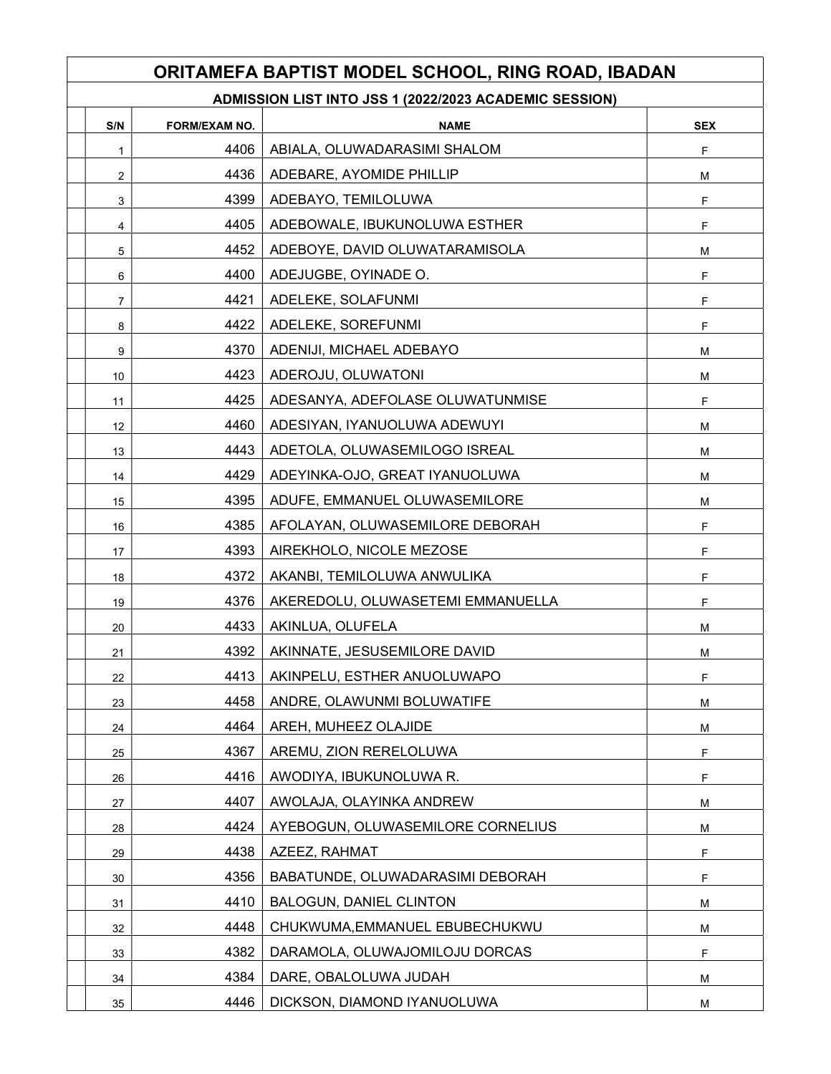## ORITAMEFA BAPTIST MODEL SCHOOL, RING ROAD, IBADAN

| ADMISSION LIST INTO JSS 1 (2022/2023 ACADEMIC SESSION) |
|--------------------------------------------------------|
|--------------------------------------------------------|

| S/N            | <b>FORM/EXAM NO.</b> | <b>NAME</b>                       | <b>SEX</b>  |
|----------------|----------------------|-----------------------------------|-------------|
| $\mathbf{1}$   | 4406                 | ABIALA, OLUWADARASIMI SHALOM      | F           |
| $\overline{a}$ | 4436                 | ADEBARE, AYOMIDE PHILLIP          | М           |
| 3              | 4399                 | ADEBAYO, TEMILOLUWA               | F           |
| 4              | 4405                 | ADEBOWALE, IBUKUNOLUWA ESTHER     | F           |
| 5              | 4452                 | ADEBOYE, DAVID OLUWATARAMISOLA    | М           |
| 6              | 4400                 | ADEJUGBE, OYINADE O.              | F           |
| $\overline{7}$ | 4421                 | ADELEKE, SOLAFUNMI                | F           |
| 8              | 4422                 | ADELEKE, SOREFUNMI                | F           |
| 9              | 4370                 | ADENIJI, MICHAEL ADEBAYO          | М           |
| 10             | 4423                 | ADEROJU, OLUWATONI                | М           |
| 11             | 4425                 | ADESANYA, ADEFOLASE OLUWATUNMISE  | F           |
| 12             | 4460                 | ADESIYAN, IYANUOLUWA ADEWUYI      | М           |
| 13             | 4443                 | ADETOLA, OLUWASEMILOGO ISREAL     | М           |
| 14             | 4429                 | ADEYINKA-OJO, GREAT IYANUOLUWA    | М           |
| 15             | 4395                 | ADUFE, EMMANUEL OLUWASEMILORE     | м           |
| 16             | 4385                 | AFOLAYAN, OLUWASEMILORE DEBORAH   | F           |
| 17             | 4393                 | AIREKHOLO, NICOLE MEZOSE          | F           |
| 18             | 4372                 | AKANBI, TEMILOLUWA ANWULIKA       | F           |
| 19             | 4376                 | AKEREDOLU, OLUWASETEMI EMMANUELLA | F           |
| 20             | 4433                 | AKINLUA, OLUFELA                  | M           |
| 21             | 4392                 | AKINNATE, JESUSEMILORE DAVID      | М           |
| 22             | 4413                 | AKINPELU, ESTHER ANUOLUWAPO       | F           |
| 23             | 4458                 | ANDRE, OLAWUNMI BOLUWATIFE        | М           |
| 24             | 4464                 | AREH, MUHEEZ OLAJIDE              | М           |
| 25             | 4367                 | AREMU, ZION RERELOLUWA            | $\mathsf F$ |
| 26             | 4416                 | AWODIYA, IBUKUNOLUWA R.           | F           |
| 27             | 4407                 | AWOLAJA, OLAYINKA ANDREW          | М           |
| 28             | 4424                 | AYEBOGUN, OLUWASEMILORE CORNELIUS | M           |
| 29             | 4438                 | AZEEZ, RAHMAT                     | F           |
| 30             | 4356                 | BABATUNDE, OLUWADARASIMI DEBORAH  | F           |
| 31             | 4410                 | <b>BALOGUN, DANIEL CLINTON</b>    | M           |
| 32             | 4448                 | CHUKWUMA, EMMANUEL EBUBECHUKWU    | M           |
| 33             | 4382                 | DARAMOLA, OLUWAJOMILOJU DORCAS    | F           |
| 34             | 4384                 | DARE, OBALOLUWA JUDAH             | М           |
| 35             | 4446                 | DICKSON, DIAMOND IYANUOLUWA       | М           |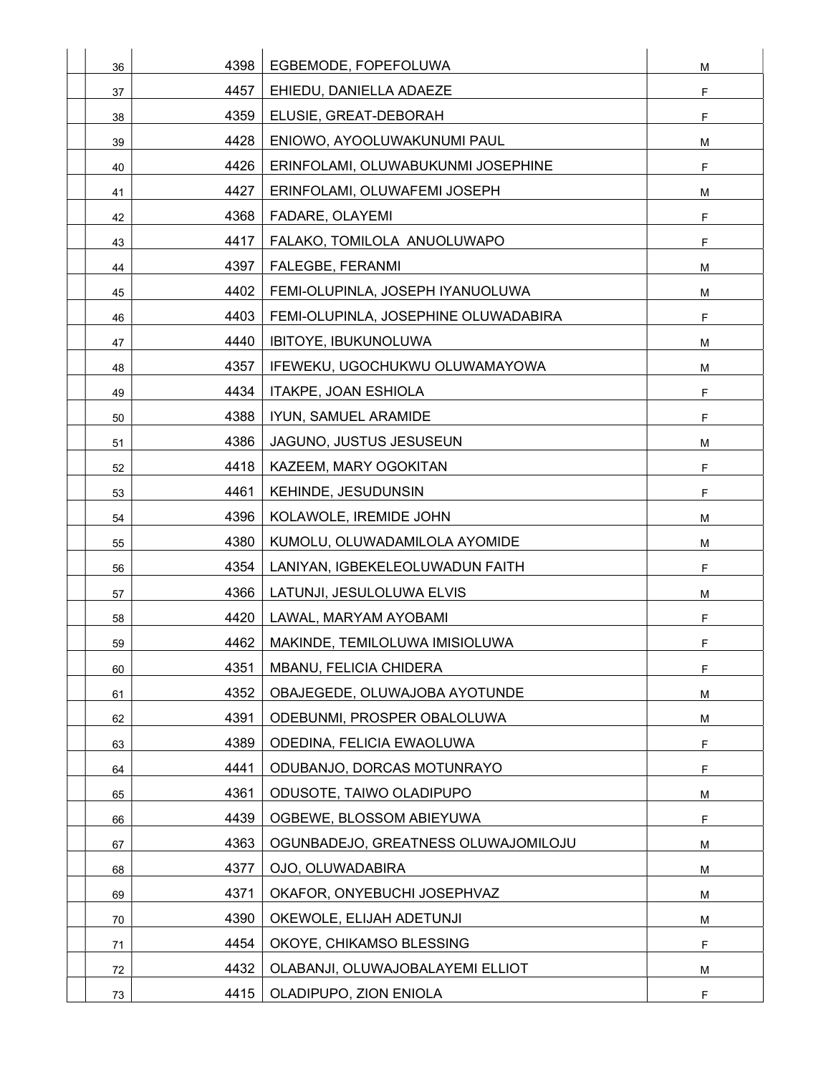| 36 | 4398 | EGBEMODE, FOPEFOLUWA                 | M           |
|----|------|--------------------------------------|-------------|
| 37 | 4457 | EHIEDU, DANIELLA ADAEZE              | $\mathsf F$ |
| 38 | 4359 | ELUSIE, GREAT-DEBORAH                | $\mathsf F$ |
| 39 | 4428 | ENIOWO, AYOOLUWAKUNUMI PAUL          | M           |
| 40 | 4426 | ERINFOLAMI, OLUWABUKUNMI JOSEPHINE   | $\mathsf F$ |
| 41 | 4427 | ERINFOLAMI, OLUWAFEMI JOSEPH         | M           |
| 42 | 4368 | FADARE, OLAYEMI                      | F           |
| 43 | 4417 | FALAKO, TOMILOLA ANUOLUWAPO          | F           |
| 44 | 4397 | FALEGBE, FERANMI                     | М           |
| 45 | 4402 | FEMI-OLUPINLA, JOSEPH IYANUOLUWA     | М           |
| 46 | 4403 | FEMI-OLUPINLA, JOSEPHINE OLUWADABIRA | F           |
| 47 | 4440 | IBITOYE, IBUKUNOLUWA                 | M           |
| 48 | 4357 | IFEWEKU, UGOCHUKWU OLUWAMAYOWA       | М           |
| 49 | 4434 | ITAKPE, JOAN ESHIOLA                 | $\mathsf F$ |
| 50 | 4388 | IYUN, SAMUEL ARAMIDE                 | F           |
| 51 | 4386 | JAGUNO, JUSTUS JESUSEUN              | M           |
| 52 | 4418 | KAZEEM, MARY OGOKITAN                | F           |
| 53 | 4461 | <b>KEHINDE, JESUDUNSIN</b>           | F           |
| 54 | 4396 | KOLAWOLE, IREMIDE JOHN               | М           |
| 55 | 4380 | KUMOLU, OLUWADAMILOLA AYOMIDE        | М           |
| 56 | 4354 | LANIYAN, IGBEKELEOLUWADUN FAITH      | F           |
| 57 | 4366 | LATUNJI, JESULOLUWA ELVIS            | М           |
| 58 | 4420 | LAWAL, MARYAM AYOBAMI                | $\mathsf F$ |
| 59 | 4462 | MAKINDE, TEMILOLUWA IMISIOLUWA       | F           |
| 60 | 4351 | MBANU, FELICIA CHIDERA               | F           |
| 61 | 4352 | OBAJEGEDE, OLUWAJOBA AYOTUNDE        | М           |
| 62 | 4391 | ODEBUNMI, PROSPER OBALOLUWA          | M           |
| 63 | 4389 | ODEDINA, FELICIA EWAOLUWA            | $\mathsf F$ |
| 64 | 4441 | ODUBANJO, DORCAS MOTUNRAYO           | F           |
| 65 | 4361 | ODUSOTE, TAIWO OLADIPUPO             | M           |
| 66 | 4439 | OGBEWE, BLOSSOM ABIEYUWA             | F           |
| 67 | 4363 | OGUNBADEJO, GREATNESS OLUWAJOMILOJU  | М           |
| 68 | 4377 | OJO, OLUWADABIRA                     | M           |
| 69 | 4371 | OKAFOR, ONYEBUCHI JOSEPHVAZ          | м           |
| 70 | 4390 | OKEWOLE, ELIJAH ADETUNJI             | M           |
| 71 | 4454 | OKOYE, CHIKAMSO BLESSING             | F           |
| 72 | 4432 | OLABANJI, OLUWAJOBALAYEMI ELLIOT     | м           |
| 73 | 4415 | OLADIPUPO, ZION ENIOLA               | F           |